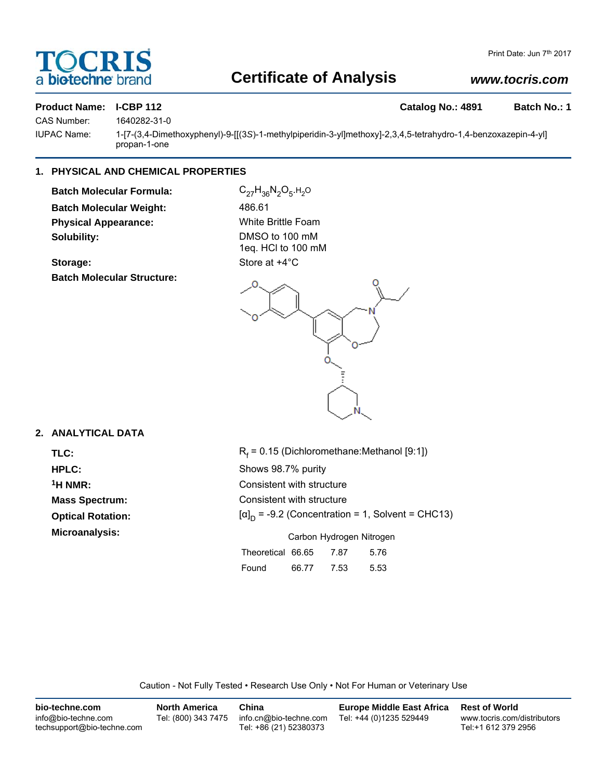## a **biotechne** brand

## **Certificate of Analysis**

### *www.tocris.com*

### **Product Name: I-CBP 112 Catalog No.: 4891 Batch No.: 1**

CAS Number: 1640282-31-0

IUPAC Name: 1-[7-(3,4-Dimethoxyphenyl)-9-[[(3*S*)-1-methylpiperidin-3-yl]methoxy]-2,3,4,5-tetrahydro-1,4-benzoxazepin-4-yl] propan-1-one

#### **1. PHYSICAL AND CHEMICAL PROPERTIES**

**Batch Molecular Formula:** C<sub>27</sub>H<sub>36</sub>N<sub>2</sub>O<sub>5</sub>.H<sub>2</sub>O **Batch Molecular Weight:** 486.61 **Physical Appearance:** White Brittle Foam **Solubility:** DMSO to 100 mM

**Batch Molecular Structure:**

1eq. HCl to 100 mM **Storage:** Store at  $+4^{\circ}$ C



### **2. ANALYTICAL DATA**

TLC: R<sub>f</sub> **Optical Rotation:** 

 $R_f$  = 0.15 (Dichloromethane:Methanol [9:1]) **HPLC:** Shows 98.7% purity **1H NMR:** Consistent with structure **Mass Spectrum:** Consistent with structure  $[\alpha]_D$  = -9.2 (Concentration = 1, Solvent = CHC13) **Microanalysis:** Microanalysis: **Carbon Hydrogen Nitrogen** Theoretical 66.65 7.87 5.76

| Found | 66.77 | 7.53 | 5.53 |
|-------|-------|------|------|

Caution - Not Fully Tested • Research Use Only • Not For Human or Veterinary Use

| bio-techne.com                                    | <b>North America</b> | China                                            | <b>Europe Middle East Africa</b> | <b>Rest of World</b>                               |
|---------------------------------------------------|----------------------|--------------------------------------------------|----------------------------------|----------------------------------------------------|
| info@bio-techne.com<br>techsupport@bio-techne.com | Tel: (800) 343 7475  | info.cn@bio-techne.com<br>Tel: +86 (21) 52380373 | Tel: +44 (0)1235 529449          | www.tocris.com/distributors<br>Tel:+1 612 379 2956 |